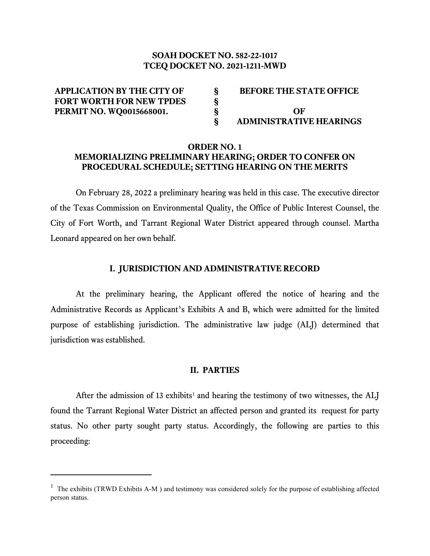#### **SOAH DOCKET NO. 582-22-1017 TCEQ DOCKET NO. 2021-1211-MWD**

| <b>APPLICATION BY THE CITY OF</b> | <b>BEFORE THE STATE OFFICE</b> |
|-----------------------------------|--------------------------------|
| <b>FORT WORTH FOR NEW TPDES</b>   |                                |
| <b>PERMIT NO. WQ0015668001.</b>   | OF                             |
|                                   | <b>ADMINISTRATIVE HEARINGS</b> |

#### **ORDER NO. 1 MEMORIALIZING PRELIMINARY HEARING; ORDER TO CONFER ON PROCEDURAL SCHEDULE; SETTING HEARING ON THE MERITS**

On February 28, 2022 a preliminary hearing was held in this case. The executive director of the Texas Commission on Environmental Quality, the Office of Public Interest Counsel, the City of Fort Worth, and Tarrant Regional Water District appeared through counsel. Martha Leonard appeared on her own behalf.

#### **I. JURISDICTION AND ADMINISTRATIVE RECORD**

At the preliminary hearing, the Applicant offered the notice of hearing and the Administrative Records as Applicant's Exhibits A and B, which were admitted for the limited purpose of establishing jurisdiction. The administrative law judge (ALJ) determined that jurisdiction was established.

#### **II. PARTIES**

After the admission of [1](#page-0-0)3 exhibits<sup>1</sup> and hearing the testimony of two witnesses, the ALJ found the Tarrant Regional Water District an affected person and granted its request for party status. No other party sought party status. Accordingly, the following are parties to this proceeding:

<span id="page-0-0"></span><sup>&</sup>lt;sup>1</sup> The exhibits (TRWD Exhibits A-M) and testimony was considered solely for the purpose of establishing affected person status.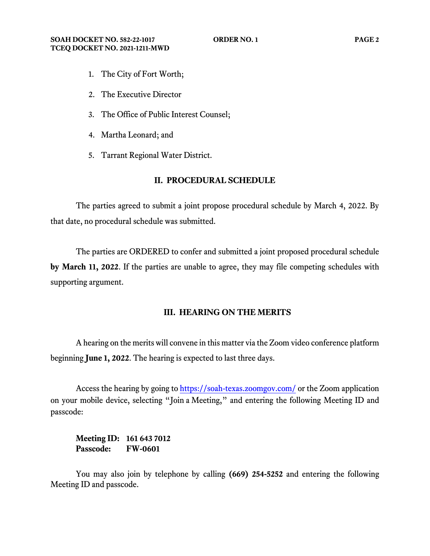- 1. The City of Fort Worth;
- 2. The Executive Director
- 3. The Office of Public Interest Counsel;
- 4. Martha Leonard; and
- 5. Tarrant Regional Water District.

#### **II. PROCEDURAL SCHEDULE**

The parties agreed to submit a joint propose procedural schedule by March 4, 2022. By that date, no procedural schedule was submitted.

The parties are ORDERED to confer and submitted a joint proposed procedural schedule **by March 11, 2022**. If the parties are unable to agree, they may file competing schedules with supporting argument.

## **III. HEARING ON THE MERITS**

A hearing on the merits will convene in this matter via the Zoom video conference platform beginning **June 1, 2022**. The hearing is expected to last three days.

Access the hearing by going to [https://soah-texas.zoomgov.com/](https://soahtexas.zoomgov.com/) or the Zoom application on your mobile device, selecting "Join a Meeting," and entering the following Meeting ID and passcode:

**Meeting ID: 161 643 7012 Passcode: FW-0601**

You may also join by telephone by calling **(669) 254-5252** and entering the following Meeting ID and passcode.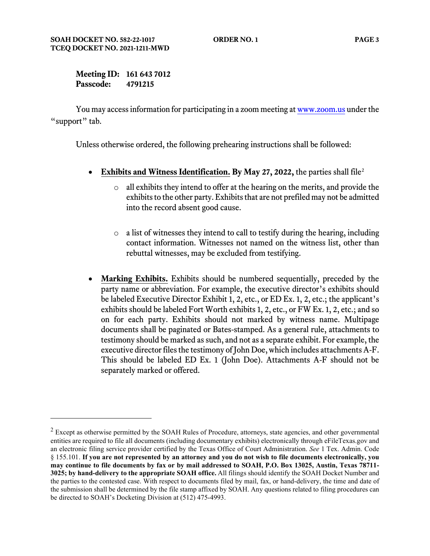**Meeting ID: 161 643 7012 Passcode: 4791215**

You may access information for participating in a zoom meeting a[t www.zoom.us](http://www.zoom.us/) under the "support" tab.

Unless otherwise ordered, the following prehearing instructions shall be followed:

- **Exhibits and Witness Identification. By May 27, 2022,** the parties shall file[2](#page-2-0)
	- o all exhibits they intend to offer at the hearing on the merits, and provide the exhibits to the other party. Exhibits that are not prefiled may not be admitted into the record absent good cause.
	- $\circ$  a list of witnesses they intend to call to testify during the hearing, including contact information. Witnesses not named on the witness list, other than rebuttal witnesses, may be excluded from testifying.
- **Marking Exhibits.** Exhibits should be numbered sequentially, preceded by the party name or abbreviation. For example, the executive director's exhibits should be labeled Executive Director Exhibit 1, 2, etc., or ED Ex. 1, 2, etc.; the applicant's exhibits should be labeled Fort Worth exhibits 1, 2, etc., or FW Ex. 1, 2, etc.; and so on for each party. Exhibits should not marked by witness name. Multipage documents shall be paginated or Bates-stamped. As a general rule, attachments to testimony should be marked as such, and not as a separate exhibit. For example, the executive director files the testimony of John Doe, which includes attachments A-F. This should be labeled ED Ex. 1 (John Doe). Attachments A-F should not be separately marked or offered.

<span id="page-2-0"></span> $2$  Except as otherwise permitted by the SOAH Rules of Procedure, attorneys, state agencies, and other governmental entities are required to file all documents (including documentary exhibits) electronically through eFileTexas.gov and an electronic filing service provider certified by the Texas Office of Court Administration. *See* 1 Tex. Admin. Code § 155.101. **If you are not represented by an attorney and you do not wish to file documents electronically, you may continue to file documents by fax or by mail addressed to SOAH, P.O. Box 13025, Austin, Texas 78711- 3025; by hand-delivery to the appropriate SOAH office.** All filings should identify the SOAH Docket Number and the parties to the contested case. With respect to documents filed by mail, fax, or hand-delivery, the time and date of the submission shall be determined by the file stamp affixed by SOAH. Any questions related to filing procedures can be directed to SOAH's Docketing Division at (512) 475-4993.